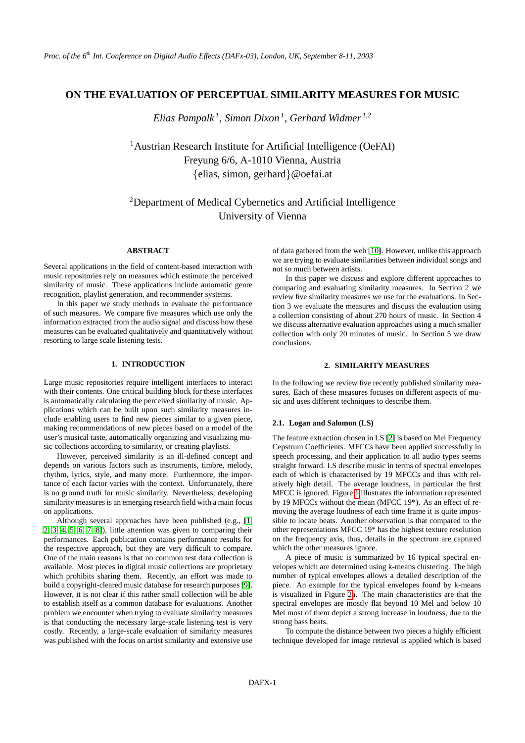## **ON THE EVALUATION OF PERCEPTUAL SIMILARITY MEASURES FOR MUSIC**

*Elias Pampalk <sup>1</sup> , Simon Dixon<sup>1</sup> , Gerhard Widmer 1,2*

<sup>1</sup> Austrian Research Institute for Artificial Intelligence (OeFAI) Freyung 6/6, A-1010 Vienna, Austria {elias, simon, gerhard}@oefai.at

# <sup>2</sup>Department of Medical Cybernetics and Artificial Intelligence University of Vienna

## **ABSTRACT**

Several applications in the field of content-based interaction with music repositories rely on measures which estimate the perceived similarity of music. These applications include automatic genre recognition, playlist generation, and recommender systems.

In this paper we study methods to evaluate the performance of such measures. We compare five measures which use only the information extracted from the audio signal and discuss how these measures can be evaluated qualitatively and quantitatively without resorting to large scale listening tests.

### **1. INTRODUCTION**

Large music repositories require intelligent interfaces to interact with their contents. One critical building block for these interfaces is automatically calculating the perceived similarity of music. Applications which can be built upon such similarity measures include enabling users to find new pieces similar to a given piece, making recommendations of new pieces based on a model of the user's musical taste, automatically organizing and visualizing music collections according to similarity, or creating playlists.

However, perceived similarity is an ill-defined concept and depends on various factors such as instruments, timbre, melody, rhythm, lyrics, style, and many more. Furthermore, the importance of each factor varies with the context. Unfortunately, there is no ground truth for music similarity. Nevertheless, developing similarity measures is an emerging research field with a main focus on applications.

Although several approaches have been published (e.g., [\[1,](#page-4-0) [2,](#page-4-1) [3,](#page-4-2) [4,](#page-4-3) [5,](#page-4-4) [6,](#page-4-5) [7,](#page-5-0) [8\]](#page-5-1)), little attention was given to comparing their performances. Each publication contains performance results for the respective approach, but they are very difficult to compare. One of the main reasons is that no common test data collection is available. Most pieces in digital music collections are proprietary which prohibits sharing them. Recently, an effort was made to build a copyright-cleared music database for research purposes [\[9\]](#page-5-2). However, it is not clear if this rather small collection will be able to establish itself as a common database for evaluations. Another problem we encounter when trying to evaluate similarity measures is that conducting the necessary large-scale listening test is very costly. Recently, a large-scale evaluation of similarity measures was published with the focus on artist similarity and extensive use of data gathered from the web [\[10\]](#page-5-3). However, unlike this approach we are trying to evaluate similarities between individual songs and not so much between artists.

In this paper we discuss and explore different approaches to comparing and evaluating similarity measures. In Section 2 we review five similarity measures we use for the evaluations. In Section 3 we evaluate the measures and discuss the evaluation using a collection consisting of about 270 hours of music. In Section 4 we discuss alternative evaluation approaches using a much smaller collection with only 20 minutes of music. In Section 5 we draw conclusions.

## **2. SIMILARITY MEASURES**

In the following we review five recently published similarity measures. Each of these measures focuses on different aspects of music and uses different techniques to describe them.

#### **2.1. Logan and Salomon (LS)**

The feature extraction chosen in LS [\[2\]](#page-4-1) is based on Mel Frequency Cepstrum Coefficients. MFCCs have been applied successfully in speech processing, and their application to all audio types seems straight forward. LS describe music in terms of spectral envelopes each of which is characterised by 19 MFCCs and thus with relatively high detail. The average loudness, in particular the first MFCC is ignored. Figure [1](#page-1-0) illustrates the information represented by 19 MFCCs without the mean (MFCC 19\*). As an effect of removing the average loudness of each time frame it is quite impossible to locate beats. Another observation is that compared to the other representations MFCC 19\* has the highest texture resolution on the frequency axis, thus, details in the spectrum are captured which the other measures ignore.

A piece of music is summarized by 16 typical spectral envelopes which are determined using k-means clustering. The high number of typical envelopes allows a detailed description of the piece. An example for the typical envelopes found by k-means is visualized in Figure [2a](#page-1-1). The main characteristics are that the spectral envelopes are mostly flat beyond 10 Mel and below 10 Mel most of them depict a strong increase in loudness, due to the strong bass beats.

To compute the distance between two pieces a highly efficient technique developed for image retrieval is applied which is based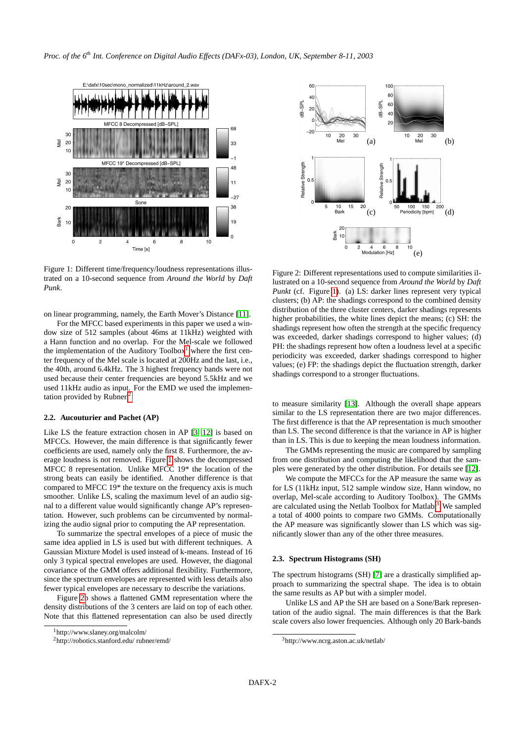

<span id="page-1-0"></span>Figure 1: Different time/frequency/loudness representations illustrated on a 10-second sequence from *Around the World* by *Daft Punk*.

on linear programming, namely, the Earth Mover's Distance [\[11\]](#page-5-4).

For the MFCC based experiments in this paper we used a window size of 512 samples (about 46ms at 11kHz) weighted with a Hann function and no overlap. For the Mel-scale we followed the implementation of the Auditory Toolbox<sup>[1](#page-1-2)</sup> where the first center frequency of the Mel scale is located at 200Hz and the last, i.e., the 40th, around 6.4kHz. The 3 highest frequency bands were not used because their center frequencies are beyond 5.5kHz and we used 11kHz audio as input. For the EMD we used the implemen-tation provided by Rubner.<sup>[2](#page-1-3)</sup>

#### **2.2. Aucouturier and Pachet (AP)**

Like LS the feature extraction chosen in AP [\[3,](#page-4-2) [12\]](#page-5-5) is based on MFCCs. However, the main difference is that significantly fewer coefficients are used, namely only the first 8. Furthermore, the average loudness is not removed. Figure [1](#page-1-0) shows the decompressed MFCC 8 representation. Unlike MFCC 19\* the location of the strong beats can easily be identified. Another difference is that compared to MFCC 19\* the texture on the frequency axis is much smoother. Unlike LS, scaling the maximum level of an audio signal to a different value would significantly change AP's representation. However, such problems can be circumvented by normalizing the audio signal prior to computing the AP representation.

To summarize the spectral envelopes of a piece of music the same idea applied in LS is used but with different techniques. A Gaussian Mixture Model is used instead of k-means. Instead of 16 only 3 typical spectral envelopes are used. However, the diagonal covariance of the GMM offers additional flexibility. Furthermore, since the spectrum envelopes are represented with less details also fewer typical envelopes are necessary to describe the variations.

Figure [2b](#page-1-1) shows a flattened GMM representation where the density distributions of the 3 centers are laid on top of each other. Note that this flattened representation can also be used directly



<span id="page-1-1"></span>Figure 2: Different representations used to compute similarities illustrated on a 10-second sequence from *Around the World* by *Daft Punkt* (cf. Figure [1\)](#page-1-0). (a) LS: darker lines represent very typical clusters; (b) AP: the shadings correspond to the combined density distribution of the three cluster centers, darker shadings represents higher probabilities, the white lines depict the means; (c) SH: the shadings represent how often the strength at the specific frequency was exceeded, darker shadings correspond to higher values; (d) PH: the shadings represent how often a loudness level at a specific periodicity was exceeded, darker shadings correspond to higher values; (e) FP: the shadings depict the fluctuation strength, darker shadings correspond to a stronger fluctuations.

to measure similarity [\[13\]](#page-5-6). Although the overall shape appears similar to the LS representation there are two major differences. The first difference is that the AP representation is much smoother than LS. The second difference is that the variance in AP is higher than in LS. This is due to keeping the mean loudness information.

The GMMs representing the music are compared by sampling from one distribution and computing the likelihood that the samples were generated by the other distribution. For details see [\[12\]](#page-5-5).

We compute the MFCCs for the AP measure the same way as for LS (11kHz input, 512 sample window size, Hann window, no overlap, Mel-scale according to Auditory Toolbox). The GMMs are calculated using the Netlab Toolbox for Matlab.[3](#page-1-4) We sampled a total of 4000 points to compare two GMMs. Computationally the AP measure was significantly slower than LS which was significantly slower than any of the other three measures.

#### **2.3. Spectrum Histograms (SH)**

The spectrum histograms (SH) [\[7\]](#page-5-0) are a drastically simplified approach to summarizing the spectral shape. The idea is to obtain the same results as AP but with a simpler model.

Unlike LS and AP the SH are based on a Sone/Bark representation of the audio signal. The main differences is that the Bark scale covers also lower frequencies. Although only 20 Bark-bands

<span id="page-1-2"></span><sup>1</sup>http://www.slaney.org/malcolm/

<span id="page-1-3"></span><sup>2</sup>http://robotics.stanford.edu/ rubner/emd/

<span id="page-1-4"></span><sup>3</sup>http://www.ncrg.aston.ac.uk/netlab/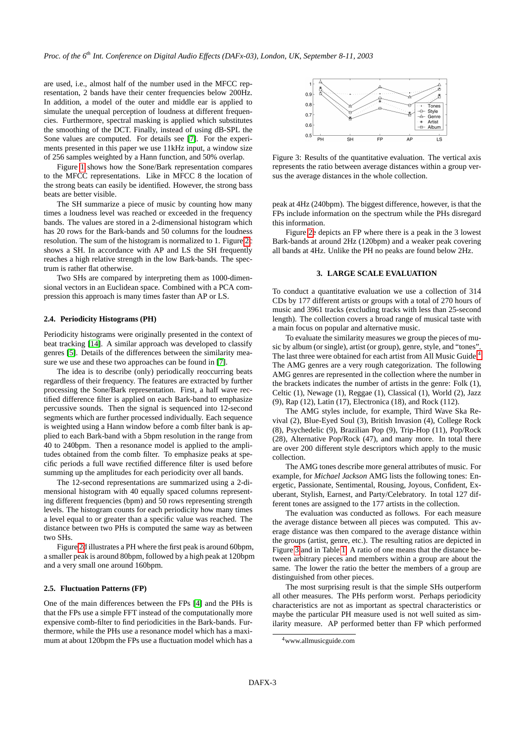are used, i.e., almost half of the number used in the MFCC representation, 2 bands have their center frequencies below 200Hz. In addition, a model of the outer and middle ear is applied to simulate the unequal perception of loudness at different frequencies. Furthermore, spectral masking is applied which substitutes the smoothing of the DCT. Finally, instead of using dB-SPL the Sone values are computed. For details see [\[7\]](#page-5-0). For the experiments presented in this paper we use 11kHz input, a window size of 256 samples weighted by a Hann function, and 50% overlap.

Figure [1](#page-1-0) shows how the Sone/Bark representation compares to the MFCC representations. Like in MFCC 8 the location of the strong beats can easily be identified. However, the strong bass beats are better visible.

The SH summarize a piece of music by counting how many times a loudness level was reached or exceeded in the frequency bands. The values are stored in a 2-dimensional histogram which has 20 rows for the Bark-bands and 50 columns for the loudness resolution. The sum of the histogram is normalized to 1. Figure [2c](#page-1-1) shows a SH. In accordance with AP and LS the SH frequently reaches a high relative strength in the low Bark-bands. The spectrum is rather flat otherwise.

Two SHs are compared by interpreting them as 1000-dimensional vectors in an Euclidean space. Combined with a PCA compression this approach is many times faster than AP or LS.

#### **2.4. Periodicity Histograms (PH)**

Periodicity histograms were originally presented in the context of beat tracking [\[14\]](#page-5-7). A similar approach was developed to classify genres [\[5\]](#page-4-4). Details of the differences between the similarity measure we use and these two approaches can be found in [\[7\]](#page-5-0).

The idea is to describe (only) periodically reoccurring beats regardless of their frequency. The features are extracted by further processing the Sone/Bark representation. First, a half wave rectified difference filter is applied on each Bark-band to emphasize percussive sounds. Then the signal is sequenced into 12-second segments which are further processed individually. Each sequence is weighted using a Hann window before a comb filter bank is applied to each Bark-band with a 5bpm resolution in the range from 40 to 240bpm. Then a resonance model is applied to the amplitudes obtained from the comb filter. To emphasize peaks at specific periods a full wave rectified difference filter is used before summing up the amplitudes for each periodicity over all bands.

The 12-second representations are summarized using a 2-dimensional histogram with 40 equally spaced columns representing different frequencies (bpm) and 50 rows representing strength levels. The histogram counts for each periodicity how many times a level equal to or greater than a specific value was reached. The distance between two PHs is computed the same way as between two SHs.

Figure [2d](#page-1-1) illustrates a PH where the first peak is around 60bpm, a smaller peak is around 80bpm, followed by a high peak at 120bpm and a very small one around 160bpm.

#### **2.5. Fluctuation Patterns (FP)**

One of the main differences between the FPs [\[4\]](#page-4-3) and the PHs is that the FPs use a simple FFT instead of the computationally more expensive comb-filter to find periodicities in the Bark-bands. Furthermore, while the PHs use a resonance model which has a maximum at about 120bpm the FPs use a fluctuation model which has a



<span id="page-2-1"></span>Figure 3: Results of the quantitative evaluation. The vertical axis represents the ratio between average distances within a group versus the average distances in the whole collection.

peak at 4Hz (240bpm). The biggest difference, however, is that the FPs include information on the spectrum while the PHs disregard this information.

Figure [2e](#page-1-1) depicts an FP where there is a peak in the 3 lowest Bark-bands at around 2Hz (120bpm) and a weaker peak covering all bands at 4Hz. Unlike the PH no peaks are found below 2Hz.

#### **3. LARGE SCALE EVALUATION**

To conduct a quantitative evaluation we use a collection of 314 CDs by 177 different artists or groups with a total of 270 hours of music and 3961 tracks (excluding tracks with less than 25-second length). The collection covers a broad range of musical taste with a main focus on popular and alternative music.

To evaluate the similarity measures we group the pieces of music by album (or single), artist (or group), genre, style, and "tones". The last three were obtained for each artist from All Music Guide.<sup>[4](#page-2-0)</sup> The AMG genres are a very rough categorization. The following AMG genres are represented in the collection where the number in the brackets indicates the number of artists in the genre: Folk (1), Celtic (1), Newage (1), Reggae (1), Classical (1), World (2), Jazz (9), Rap (12), Latin (17), Electronica (18), and Rock (112).

The AMG styles include, for example, Third Wave Ska Revival (2), Blue-Eyed Soul (3), British Invasion (4), College Rock (8), Psychedelic (9), Brazilian Pop (9), Trip-Hop (11), Pop/Rock (28), Alternative Pop/Rock (47), and many more. In total there are over 200 different style descriptors which apply to the music collection.

The AMG tones describe more general attributes of music. For example, for *Michael Jackson* AMG lists the following tones: Energetic, Passionate, Sentimental, Rousing, Joyous, Confident, Exuberant, Stylish, Earnest, and Party/Celebratory. In total 127 different tones are assigned to the 177 artists in the collection.

The evaluation was conducted as follows. For each measure the average distance between all pieces was computed. This average distance was then compared to the average distance within the groups (artist, genre, etc.). The resulting ratios are depicted in Figure [3](#page-2-1) and in Table [1.](#page-3-0) A ratio of one means that the distance between arbitrary pieces and members within a group are about the same. The lower the ratio the better the members of a group are distinguished from other pieces.

The most surprising result is that the simple SHs outperform all other measures. The PHs perform worst. Perhaps periodicity characteristics are not as important as spectral characteristics or maybe the particular PH measure used is not well suited as similarity measure. AP performed better than FP which performed

<span id="page-2-0"></span><sup>4</sup>www.allmusicguide.com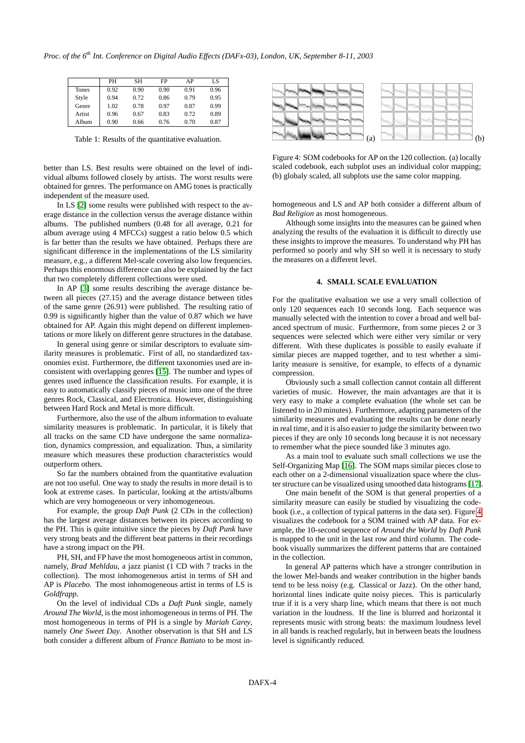|        | PH   | SН   | FP   | AP   | LS   |
|--------|------|------|------|------|------|
| Tones  | 0.92 | 0.90 | 0.90 | 0.91 | 0.96 |
| Style  | 0.94 | 0.72 | 0.86 | 0.79 | 0.95 |
| Genre  | 1.02 | 0.78 | 0.97 | 0.87 | 0.99 |
| Artist | 0.96 | 0.67 | 0.83 | 0.72 | 0.89 |
| Album  | 0.90 | 0.66 | 0.76 | 0.70 | 0.87 |

<span id="page-3-0"></span>Table 1: Results of the quantitative evaluation.

better than LS. Best results were obtained on the level of individual albums followed closely by artists. The worst results were obtained for genres. The performance on AMG tones is practically independent of the measure used.

In LS [\[2\]](#page-4-1) some results were published with respect to the average distance in the collection versus the average distance within albums. The published numbers (0.48 for all average, 0.21 for album average using 4 MFCCs) suggest a ratio below 0.5 which is far better than the results we have obtained. Perhaps there are significant difference in the implementations of the LS similarity measure, e.g., a different Mel-scale covering also low frequencies. Perhaps this enormous difference can also be explained by the fact that two completely different collections were used.

In AP [\[3\]](#page-4-2) some results describing the average distance between all pieces (27.15) and the average distance between titles of the same genre (26.91) were published. The resulting ratio of 0.99 is significantly higher than the value of 0.87 which we have obtained for AP. Again this might depend on different implementations or more likely on different genre structures in the database.

In general using genre or similar descriptors to evaluate similarity measures is problematic. First of all, no standardized taxonomies exist. Furthermore, the different taxonomies used are inconsistent with overlapping genres [\[15\]](#page-5-8). The number and types of genres used influence the classification results. For example, it is easy to automatically classify pieces of music into one of the three genres Rock, Classical, and Electronica. However, distinguishing between Hard Rock and Metal is more difficult.

Furthermore, also the use of the album information to evaluate similarity measures is problematic. In particular, it is likely that all tracks on the same CD have undergone the same normalization, dynamics compression, and equalization. Thus, a similarity measure which measures these production characteristics would outperform others.

So far the numbers obtained from the quantitative evaluation are not too useful. One way to study the results in more detail is to look at extreme cases. In particular, looking at the artists/albums which are very homogeneous or very inhomogeneous.

For example, the group *Daft Punk* (2 CDs in the collection) has the largest average distances between its pieces according to the PH. This is quite intuitive since the pieces by *Daft Punk* have very strong beats and the different beat patterns in their recordings have a strong impact on the PH.

PH, SH, and FP have the most homogeneous artist in common, namely, *Brad Mehldau*, a jazz pianist (1 CD with 7 tracks in the collection). The most inhomogeneous artist in terms of SH and AP is *Placebo*. The most inhomogeneous artist in terms of LS is *Goldfrapp*.

On the level of individual CDs a *Daft Punk* single, namely *Around The World*, is the most inhomogeneous in terms of PH. The most homogeneous in terms of PH is a single by *Mariah Carey*, namely *One Sweet Day*. Another observation is that SH and LS both consider a different album of *France Battiato* to be most in-



<span id="page-3-1"></span>Figure 4: SOM codebooks for AP on the 120 collection. (a) locally scaled codebook, each subplot uses an individual color mapping; (b) globaly scaled, all subplots use the same color mapping.

homogeneous and LS and AP both consider a different album of *Bad Religion* as most homogeneous.

Although some insights into the measures can be gained when analyzing the results of the evaluation it is difficult to directly use these insights to improve the measures. To understand why PH has performed so poorly and why SH so well it is necessary to study the measures on a different level.

#### **4. SMALL SCALE EVALUATION**

For the qualitative evaluation we use a very small collection of only 120 sequences each 10 seconds long. Each sequence was manually selected with the intention to cover a broad and well balanced spectrum of music. Furthermore, from some pieces 2 or 3 sequences were selected which were either very similar or very different. With these duplicates is possible to easily evaluate if similar pieces are mapped together, and to test whether a similarity measure is sensitive, for example, to effects of a dynamic compression.

Obviously such a small collection cannot contain all different varieties of music. However, the main advantages are that it is very easy to make a complete evaluation (the whole set can be listened to in 20 minutes). Furthermore, adapting parameters of the similarity measures and evaluating the results can be done nearly in real time, and it is also easier to judge the similarity between two pieces if they are only 10 seconds long because it is not necessary to remember what the piece sounded like 3 minutes ago.

As a main tool to evaluate such small collections we use the Self-Organizing Map [\[16\]](#page-5-9). The SOM maps similar pieces close to each other on a 2-dimensional visualization space where the cluster structure can be visualized using smoothed data histograms [\[17\]](#page-5-10).

One main benefit of the SOM is that general properties of a similarity measure can easily be studied by visualizing the codebook (i.e., a collection of typical patterns in the data set). Figure [4](#page-3-1) visualizes the codebook for a SOM trained with AP data. For example, the 10-second sequence of *Around the World* by *Daft Punk* is mapped to the unit in the last row and third column. The codebook visually summarizes the different patterns that are contained in the collection.

In general AP patterns which have a stronger contribution in the lower Mel-bands and weaker contribution in the higher bands tend to be less noisy (e.g. Classical or Jazz). On the other hand, horizontal lines indicate quite noisy pieces. This is particularly true if it is a very sharp line, which means that there is not much variation in the loudness. If the line is blurred and horizontal it represents music with strong beats: the maximum loudness level in all bands is reached regularly, but in between beats the loudness level is significantly reduced.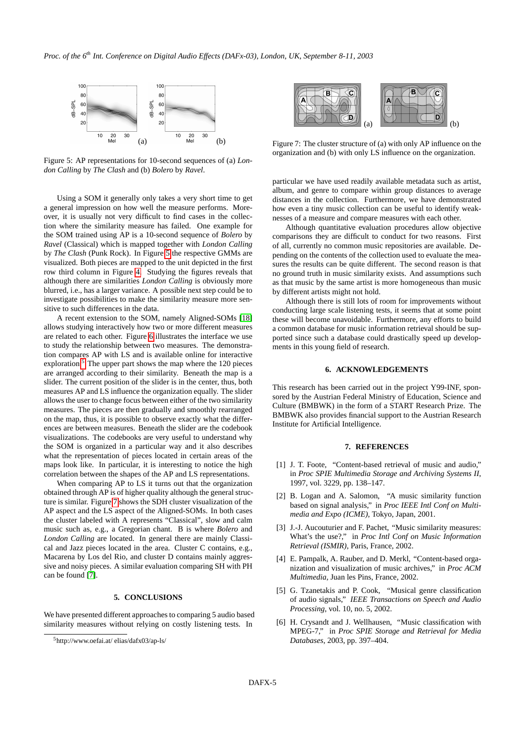

<span id="page-4-6"></span>Figure 5: AP representations for 10-second sequences of (a) *London Calling* by *The Clash* and (b) *Bolero* by *Ravel*.

Using a SOM it generally only takes a very short time to get a general impression on how well the measure performs. Moreover, it is usually not very difficult to find cases in the collection where the similarity measure has failed. One example for the SOM trained using AP is a 10-second sequence of *Bolero* by *Ravel* (Classical) which is mapped together with *London Calling* by *The Clash* (Punk Rock). In Figure [5](#page-4-6) the respective GMMs are visualized. Both pieces are mapped to the unit depicted in the first row third column in Figure [4.](#page-3-1) Studying the figures reveals that although there are similarities *London Calling* is obviously more blurred, i.e., has a larger variance. A possible next step could be to investigate possibilities to make the similarity measure more sensitive to such differences in the data.

A recent extension to the SOM, namely Aligned-SOMs [\[18\]](#page-5-11) allows studying interactively how two or more different measures are related to each other. Figure [6](#page-5-12) illustrates the interface we use to study the relationship between two measures. The demonstration compares AP with LS and is available online for interactive exploration.<sup>[5](#page-4-7)</sup> The upper part shows the map where the 120 pieces are arranged according to their similarity. Beneath the map is a slider. The current position of the slider is in the center, thus, both measures AP and LS influence the organization equally. The slider allows the user to change focus between either of the two similarity measures. The pieces are then gradually and smoothly rearranged on the map, thus, it is possible to observe exactly what the differences are between measures. Beneath the slider are the codebook visualizations. The codebooks are very useful to understand why the SOM is organized in a particular way and it also describes what the representation of pieces located in certain areas of the maps look like. In particular, it is interesting to notice the high correlation between the shapes of the AP and LS representations.

When comparing AP to LS it turns out that the organization obtained through AP is of higher quality although the general structure is similar. Figure [7](#page-4-8) shows the SDH cluster visualization of the AP aspect and the LS aspect of the Aligned-SOMs. In both cases the cluster labeled with A represents "Classical", slow and calm music such as, e.g., a Gregorian chant. B is where *Bolero* and *London Calling* are located. In general there are mainly Classical and Jazz pieces located in the area. Cluster C contains, e.g., Macarena by Los del Rio, and cluster D contains mainly aggressive and noisy pieces. A similar evaluation comparing SH with PH can be found [\[7\]](#page-5-0).

#### **5. CONCLUSIONS**

We have presented different approaches to comparing 5 audio based similarity measures without relying on costly listening tests. In



<span id="page-4-8"></span>Figure 7: The cluster structure of (a) with only AP influence on the organization and (b) with only LS influence on the organization.

particular we have used readily available metadata such as artist, album, and genre to compare within group distances to average distances in the collection. Furthermore, we have demonstrated how even a tiny music collection can be useful to identify weaknesses of a measure and compare measures with each other.

Although quantitative evaluation procedures allow objective comparisons they are difficult to conduct for two reasons. First of all, currently no common music repositories are available. Depending on the contents of the collection used to evaluate the measures the results can be quite different. The second reason is that no ground truth in music similarity exists. And assumptions such as that music by the same artist is more homogeneous than music by different artists might not hold.

Although there is still lots of room for improvements without conducting large scale listening tests, it seems that at some point these will become unavoidable. Furthermore, any efforts to build a common database for music information retrieval should be supported since such a database could drastically speed up developments in this young field of research.

#### **6. ACKNOWLEDGEMENTS**

This research has been carried out in the project Y99-INF, sponsored by the Austrian Federal Ministry of Education, Science and Culture (BMBWK) in the form of a START Research Prize. The BMBWK also provides financial support to the Austrian Research Institute for Artificial Intelligence.

#### **7. REFERENCES**

- <span id="page-4-0"></span>[1] J. T. Foote, "Content-based retrieval of music and audio," in *Proc SPIE Multimedia Storage and Archiving Systems II*, 1997, vol. 3229, pp. 138–147.
- <span id="page-4-1"></span>[2] B. Logan and A. Salomon, "A music similarity function based on signal analysis," in *Proc IEEE Intl Conf on Multimedia and Expo (ICME)*, Tokyo, Japan, 2001.
- <span id="page-4-2"></span>[3] J.-J. Aucouturier and F. Pachet, "Music similarity measures: What's the use?," in *Proc Intl Conf on Music Information Retrieval (ISMIR)*, Paris, France, 2002.
- <span id="page-4-3"></span>[4] E. Pampalk, A. Rauber, and D. Merkl, "Content-based organization and visualization of music archives," in *Proc ACM Multimedia*, Juan les Pins, France, 2002.
- <span id="page-4-4"></span>[5] G. Tzanetakis and P. Cook, "Musical genre classification of audio signals," *IEEE Transactions on Speech and Audio Processing*, vol. 10, no. 5, 2002.
- <span id="page-4-5"></span>[6] H. Crysandt and J. Wellhausen, "Music classification with MPEG-7," in *Proc SPIE Storage and Retrieval for Media Databases*, 2003, pp. 397–404.

<span id="page-4-7"></span><sup>5</sup>http://www.oefai.at/ elias/dafx03/ap-ls/